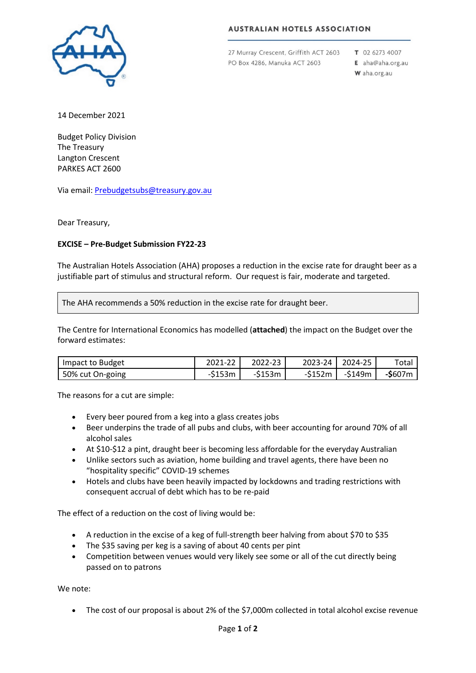

## **AUSTRALIAN HOTELS ASSOCIATION**

27 Murray Crescent, Griffith ACT 2603 PO Box 4286, Manuka ACT 2603

T 02 6273 4007 E aha@aha.org.au W aha.org.au

14 December 2021

Budget Policy Division The Treasury Langton Crescent PARKES ACT 2600

Via email[: Prebudgetsubs@treasury.gov.au](mailto:Prebudgetsubs@treasury.gov.au)

Dear Treasury,

## **EXCISE – Pre-Budget Submission FY22-23**

The Australian Hotels Association (AHA) proposes a reduction in the excise rate for draught beer as a justifiable part of stimulus and structural reform. Our request is fair, moderate and targeted.

The AHA recommends a 50% reduction in the excise rate for draught beer.

The Centre for International Economics has modelled (**attached**) the impact on the Budget over the forward estimates:

| Impact to Budget | 2021-22  | 2022-23  | 2023-24 | 2024-25 | Totai           |
|------------------|----------|----------|---------|---------|-----------------|
| 50% cut On-going | $-5153m$ | $-5153m$ | -\$152m | -\$149m | <b>-\$</b> 607m |

The reasons for a cut are simple:

- Every beer poured from a keg into a glass creates jobs
- Beer underpins the trade of all pubs and clubs, with beer accounting for around 70% of all alcohol sales
- At \$10-\$12 a pint, draught beer is becoming less affordable for the everyday Australian
- Unlike sectors such as aviation, home building and travel agents, there have been no "hospitality specific" COVID-19 schemes
- Hotels and clubs have been heavily impacted by lockdowns and trading restrictions with consequent accrual of debt which has to be re-paid

The effect of a reduction on the cost of living would be:

- A reduction in the excise of a keg of full-strength beer halving from about \$70 to \$35
- The \$35 saving per keg is a saving of about 40 cents per pint
- Competition between venues would very likely see some or all of the cut directly being passed on to patrons

We note:

• The cost of our proposal is about 2% of the \$7,000m collected in total alcohol excise revenue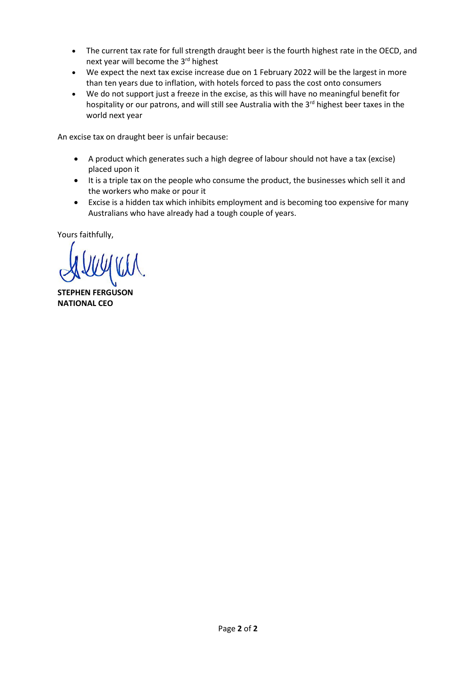- The current tax rate for full strength draught beer is the fourth highest rate in the OECD, and next year will become the 3rd highest
- We expect the next tax excise increase due on 1 February 2022 will be the largest in more than ten years due to inflation, with hotels forced to pass the cost onto consumers
- We do not support just a freeze in the excise, as this will have no meaningful benefit for hospitality or our patrons, and will still see Australia with the 3<sup>rd</sup> highest beer taxes in the world next year

An excise tax on draught beer is unfair because:

- A product which generates such a high degree of labour should not have a tax (excise) placed upon it
- It is a triple tax on the people who consume the product, the businesses which sell it and the workers who make or pour it
- Excise is a hidden tax which inhibits employment and is becoming too expensive for many Australians who have already had a tough couple of years.

Yours faithfully,

**STEPHEN FERGUSON NATIONAL CEO**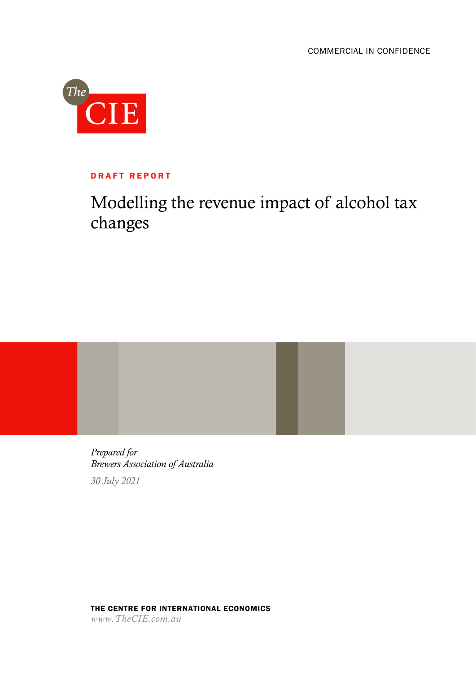

## DRAFT REPORT

# Modelling the revenue impact of alcohol tax changes



THE CENTRE FOR INTERNATIONAL ECONOMICS *www.TheCIE.com.au*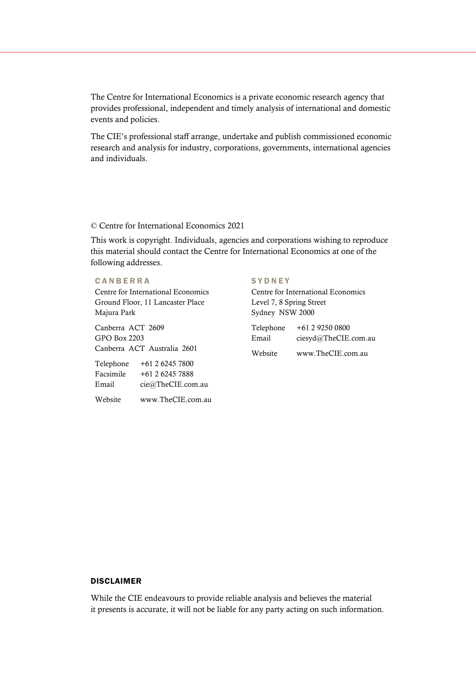The Centre for International Economics is a private economic research agency that provides professional, independent and timely analysis of international and domestic events and policies.

The CIE's professional staff arrange, undertake and publish commissioned economic research and analysis for industry, corporations, governments, international agencies and individuals.

## © Centre for International Economics 2021

This work is copyright. Individuals, agencies and corporations wishing to reproduce this material should contact the Centre for International Economics at one of the following addresses.

## **CANBERRA** Centre for International Economics Ground Floor, 11 Lancaster Place Majura Park

Canberra ACT 2609 GPO Box 2203 Canberra ACT Australia 2601

| Telephone | +61 2 6245 7800   |
|-----------|-------------------|
| Facsimile | $+61262457888$    |
| Email     | cie@TheCIE.com.au |
| Website   | www.TheCIE.com.au |

## **SYDNEY**

Centre for International Economics Level 7, 8 Spring Street Sydney NSW 2000

| Telephone | +61 2 9250 0800      |
|-----------|----------------------|
| Email     | ciesyd@TheCIE.com.au |
| Website   | www.TheCIE.com.au    |

## DISCLAIMER

While the CIE endeavours to provide reliable analysis and believes the material it presents is accurate, it will not be liable for any party acting on such information.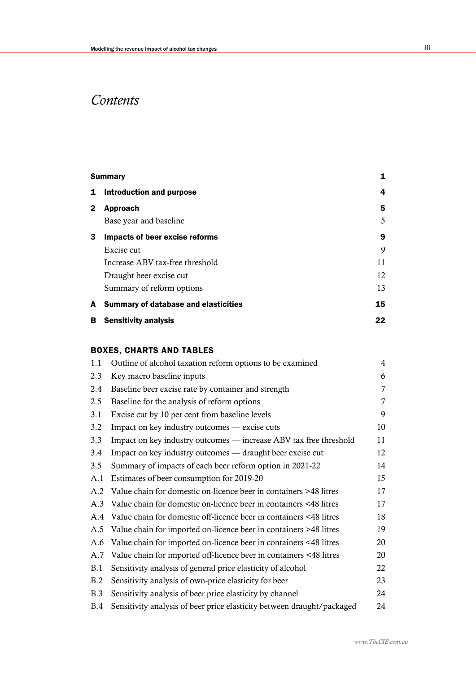# *Contents*

|              | <b>Summary</b>                              | 1  |
|--------------|---------------------------------------------|----|
| 1            | Introduction and purpose                    | 4  |
| $\mathbf{2}$ | <b>Approach</b>                             | 5  |
|              | Base year and baseline                      | 5  |
| 3            | Impacts of beer excise reforms              | 9  |
|              | Excise cut                                  | 9  |
|              | Increase ABV tax-free threshold             | 11 |
|              | Draught beer excise cut                     | 12 |
|              | Summary of reform options                   | 13 |
| A            | <b>Summary of database and elasticities</b> | 15 |
| в            | <b>Sensitivity analysis</b>                 | 22 |
|              |                                             |    |

## BOXES, CHARTS AND TABLES

| 1.1 | Outline of alcohol taxation reform options to be examined              | 4              |
|-----|------------------------------------------------------------------------|----------------|
| 2.3 | Key macro baseline inputs                                              | 6              |
| 2.4 | Baseline beer excise rate by container and strength                    | 7              |
| 2.5 | Baseline for the analysis of reform options                            | $\overline{7}$ |
| 3.1 | Excise cut by 10 per cent from baseline levels                         | 9              |
| 3.2 | Impact on key industry outcomes — excise cuts                          | 10             |
| 3.3 | Impact on key industry outcomes — increase ABV tax free threshold      | 11             |
| 3.4 | Impact on key industry outcomes — draught beer excise cut              | 12             |
| 3.5 | Summary of impacts of each beer reform option in 2021-22               | 14             |
| A.1 | Estimates of beer consumption for 2019-20                              | 15             |
| A.2 | Value chain for domestic on-licence beer in containers >48 litres      | 17             |
| A.3 | Value chain for domestic on-licence beer in containers <48 litres      | 17             |
| A.4 | Value chain for domestic off-licence beer in containers <48 litres     | 18             |
| A.5 | Value chain for imported on-licence beer in containers >48 litres      | 19             |
| A.6 | Value chain for imported on-licence beer in containers <48 litres      | 20             |
| A.7 | Value chain for imported off-licence beer in containers <48 litres     | 20             |
| B.1 | Sensitivity analysis of general price elasticity of alcohol            | 22             |
| B.2 | Sensitivity analysis of own-price elasticity for beer                  | 23             |
| B.3 | Sensitivity analysis of beer price elasticity by channel               | 24             |
| B.4 | Sensitivity analysis of beer price elasticity between draught/packaged | 24             |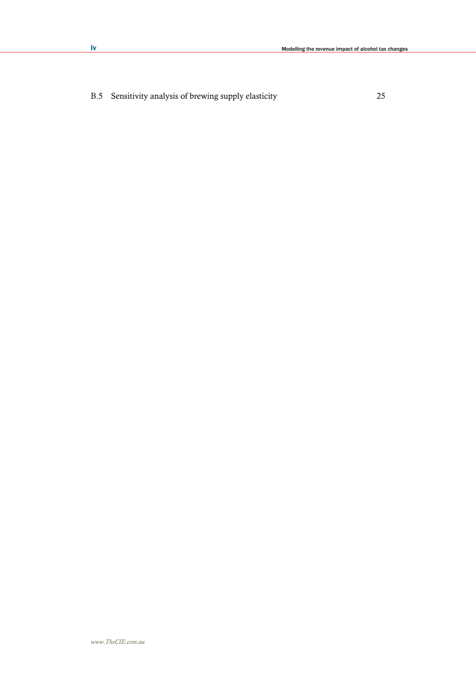B.5 Sensitivity analysis of brewing supply elasticity 25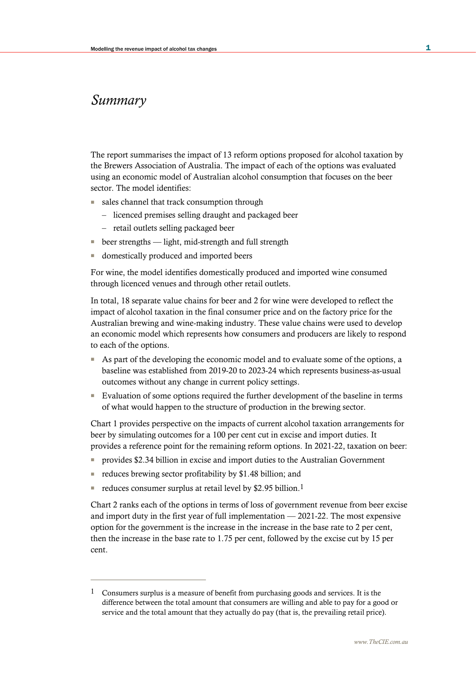## *Summary*

The report summarises the impact of 13 reform options proposed for alcohol taxation by the Brewers Association of Australia. The impact of each of the options was evaluated using an economic model of Australian alcohol consumption that focuses on the beer sector. The model identifies:

- sales channel that track consumption through
	- licenced premises selling draught and packaged beer
	- retail outlets selling packaged beer
- beer strengths light, mid-strength and full strength
- domestically produced and imported beers

For wine, the model identifies domestically produced and imported wine consumed through licenced venues and through other retail outlets.

In total, 18 separate value chains for beer and 2 for wine were developed to reflect the impact of alcohol taxation in the final consumer price and on the factory price for the Australian brewing and wine-making industry. These value chains were used to develop an economic model which represents how consumers and producers are likely to respond to each of the options.

- As part of the developing the economic model and to evaluate some of the options, a baseline was established from 2019-20 to 2023-24 which represents business-as-usual outcomes without any change in current policy settings.
- Evaluation of some options required the further development of the baseline in terms of what would happen to the structure of production in the brewing sector.

Chart 1 provides perspective on the impacts of current alcohol taxation arrangements for beer by simulating outcomes for a 100 per cent cut in excise and import duties. It provides a reference point for the remaining reform options. In 2021-22, taxation on beer:

- provides \$2.34 billion in excise and import duties to the Australian Government
- reduces brewing sector profitability by \$1.48 billion; and
- reduces consumer surplus at retail level by \$2.95 billion.<sup>1</sup>

Chart 2 ranks each of the options in terms of loss of government revenue from beer excise and import duty in the first year of full implementation — 2021-22. The most expensive option for the government is the increase in the increase in the base rate to 2 per cent, then the increase in the base rate to 1.75 per cent, followed by the excise cut by 15 per cent.

<sup>1</sup> Consumers surplus is a measure of benefit from purchasing goods and services. It is the difference between the total amount that consumers are willing and able to pay for a good or service and the total amount that they actually do pay (that is, the prevailing retail price).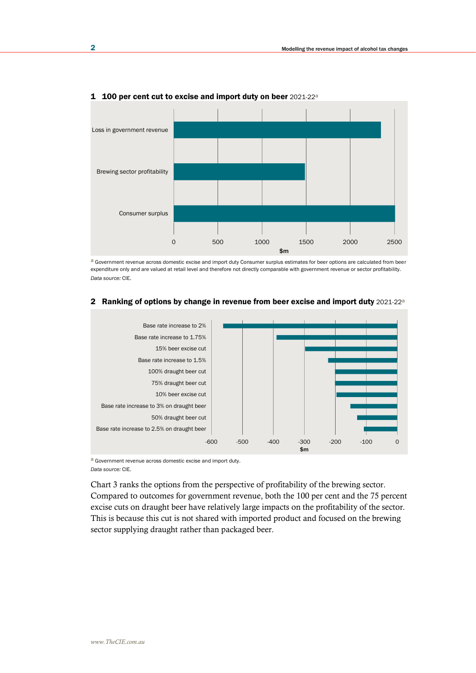

#### 1 100 per cent cut to excise and import duty on beer 2021-22a

a Government revenue across domestic excise and import duty Consumer surplus estimates for beer options are calculated from beer expenditure only and are valued at retail level and therefore not directly comparable with government revenue or sector profitability. *Data source:* CIE.



## 2 Ranking of options by change in revenue from beer excise and import duty 2021-22<sup>a</sup>

a Government revenue across domestic excise and import duty. *Data source:* CIE.

Chart 3 ranks the options from the perspective of profitability of the brewing sector. Compared to outcomes for government revenue, both the 100 per cent and the 75 percent excise cuts on draught beer have relatively large impacts on the profitability of the sector. This is because this cut is not shared with imported product and focused on the brewing sector supplying draught rather than packaged beer.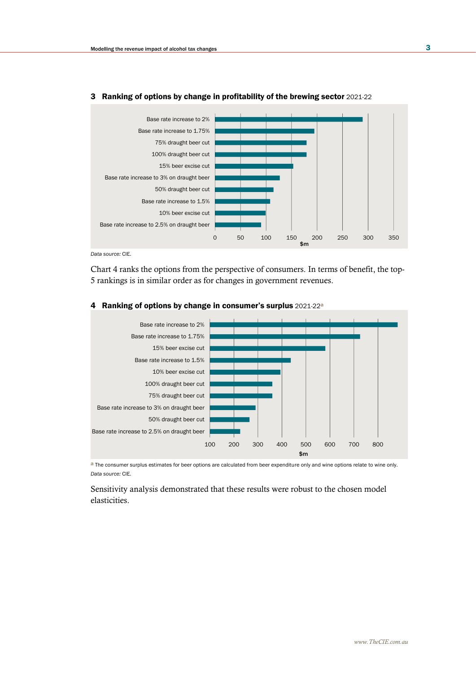

## 3 Ranking of options by change in profitability of the brewing sector 2021-22

*Data source:* CIE.

Chart 4 ranks the options from the perspective of consumers. In terms of benefit, the top-5 rankings is in similar order as for changes in government revenues.



#### 4 Ranking of options by change in consumer's surplus 2021-22<sup>a</sup>

a The consumer surplus estimates for beer options are calculated from beer expenditure only and wine options relate to wine only. *Data source:* CIE.

Sensitivity analysis demonstrated that these results were robust to the chosen model elasticities.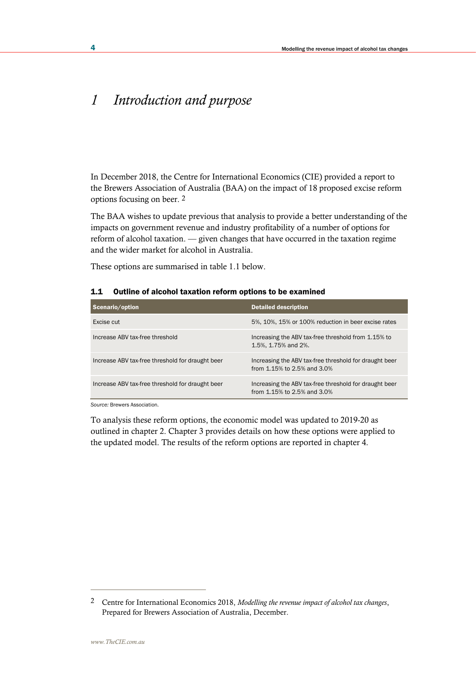# *1 Introduction and purpose*

In December 2018, the Centre for International Economics (CIE) provided a report to the Brewers Association of Australia (BAA) on the impact of 18 proposed excise reform options focusing on beer. 2

The BAA wishes to update previous that analysis to provide a better understanding of the impacts on government revenue and industry profitability of a number of options for reform of alcohol taxation. — given changes that have occurred in the taxation regime and the wider market for alcohol in Australia.

These options are summarised in table 1.1 below.

| Scenario/option                                  | <b>Detailed description</b>                                                           |
|--------------------------------------------------|---------------------------------------------------------------------------------------|
| Excise cut                                       | 5%, 10%, 15% or 100% reduction in beer excise rates                                   |
| Increase ABV tax-free threshold                  | Increasing the ABV tax-free threshold from 1.15% to<br>1.5%, 1.75% and 2%.            |
| Increase ABV tax-free threshold for draught beer | Increasing the ABV tax-free threshold for draught beer<br>from 1.15% to 2.5% and 3.0% |
| Increase ABV tax-free threshold for draught beer | Increasing the ABV tax-free threshold for draught beer<br>from 1.15% to 2.5% and 3.0% |

#### 1.1 Outline of alcohol taxation reform options to be examined

*Source:* Brewers Association.

To analysis these reform options, the economic model was updated to 2019-20 as outlined in chapter 2. Chapter 3 provides details on how these options were applied to the updated model. The results of the reform options are reported in chapter 4.

<sup>2</sup> Centre for International Economics 2018, *Modelling the revenue impact of alcohol tax changes*, Prepared for Brewers Association of Australia, December.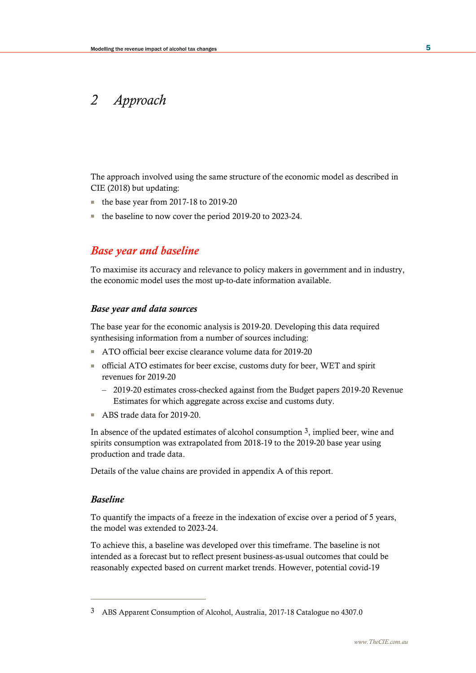# *2 Approach*

The approach involved using the same structure of the economic model as described in CIE (2018) but updating:

- the base year from 2017-18 to 2019-20
- the baseline to now cover the period 2019-20 to 2023-24.

# *Base year and baseline*

To maximise its accuracy and relevance to policy makers in government and in industry, the economic model uses the most up-to-date information available.

## *Base year and data sources*

The base year for the economic analysis is 2019-20. Developing this data required synthesising information from a number of sources including:

- ATO official beer excise clearance volume data for 2019-20
- official ATO estimates for beer excise, customs duty for beer, WET and spirit revenues for 2019-20
	- 2019-20 estimates cross-checked against from the Budget papers 2019-20 Revenue Estimates for which aggregate across excise and customs duty.
- ABS trade data for 2019-20.

In absence of the updated estimates of alcohol consumption 3, implied beer, wine and spirits consumption was extrapolated from 2018-19 to the 2019-20 base year using production and trade data.

Details of the value chains are provided in appendix A of this report.

## *Baseline*

To quantify the impacts of a freeze in the indexation of excise over a period of 5 years, the model was extended to 2023-24.

To achieve this, a baseline was developed over this timeframe. The baseline is not intended as a forecast but to reflect present business-as-usual outcomes that could be reasonably expected based on current market trends. However, potential covid-19

<sup>3</sup> ABS Apparent Consumption of Alcohol, Australia, 2017-18 Catalogue no 4307.0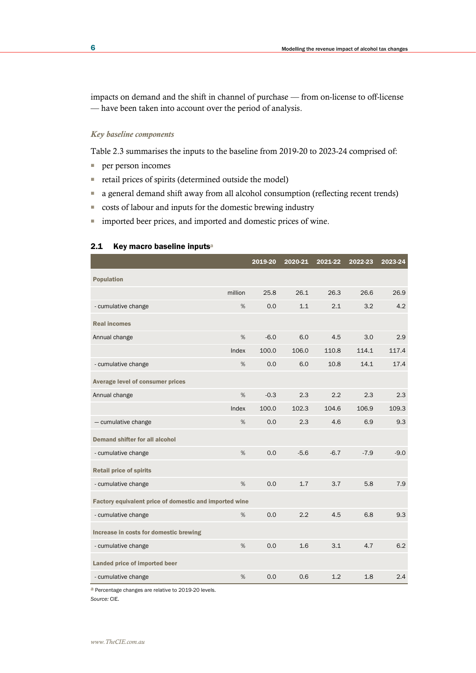impacts on demand and the shift in channel of purchase — from on-license to off-license — have been taken into account over the period of analysis.

## *Key baseline components*

Table 2.3 summarises the inputs to the baseline from 2019-20 to 2023-24 comprised of:

■ per person incomes

2.1 Key macro baseline inputsa

- retail prices of spirits (determined outside the model)
- a general demand shift away from all alcohol consumption (reflecting recent trends)
- costs of labour and inputs for the domestic brewing industry
- imported beer prices, and imported and domestic prices of wine.

# 2019-20 2020-21 2021-22 2022-23 2023-24 Population million 25.8 26.1 26.3 26.6 26.9 - cumulative change % 0.0 1.1 2.1 3.2 4.2 Real incomes Annual change % -6.0 6.0 4.5 3.0 2.9 Index 100.0 106.0 110.8 114.1 117.4 - cumulative change % 0.0 6.0 10.8 14.1 17.4 Average level of consumer prices Annual change **8 12 12 12 12 12 12 12 12 12 12 12 12 12** 12 12 13 12 13 12 13 12 13 12 13 12 13 12 13 12 13 12 1 Index 100.0 102.3 104.6 106.9 109.3 — cumulative change % 0.0 2.3 4.6 6.9 9.3 Demand shifter for all alcohol - cumulative change  $\%$  0.0 -5.6 -6.7 -7.9 -9.0 Retail price of spirits - cumulative change % 0.0 1.7 3.7 5.8 7.9 Factory equivalent price of domestic and imported wine - cumulative change % 0.0 2.2 4.5 6.8 9.3 Increase in costs for domestic brewing - cumulative change % 0.0 1.6 3.1 4.7 6.2 Landed price of imported beer - cumulative change % 0.0 0.6 1.2 1.8 2.4

a Percentage changes are relative to 2019-20 levels.

*Source:* CIE.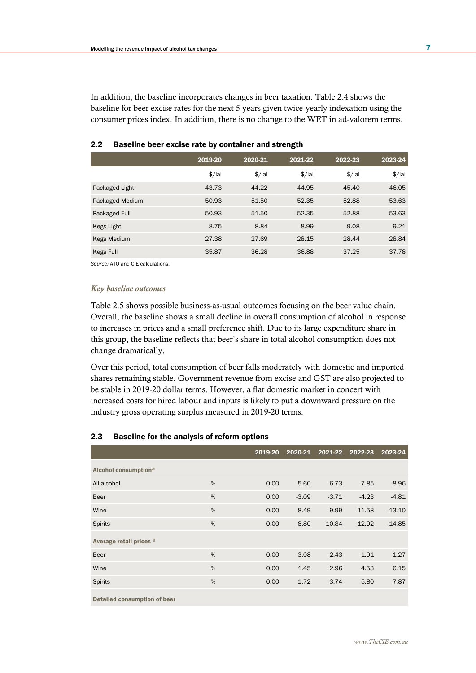In addition, the baseline incorporates changes in beer taxation. Table 2.4 shows the baseline for beer excise rates for the next 5 years given twice-yearly indexation using the consumer prices index. In addition, there is no change to the WET in ad-valorem terms.

|                 | 2019-20  | 2020-21  | 2021-22  | 2022-23  | 2023-24  |
|-----------------|----------|----------|----------|----------|----------|
|                 | $$/$ lal | $$/$ lal | $$/$ lal | $$/$ lal | $$/$ lal |
| Packaged Light  | 43.73    | 44.22    | 44.95    | 45.40    | 46.05    |
| Packaged Medium | 50.93    | 51.50    | 52.35    | 52.88    | 53.63    |
| Packaged Full   | 50.93    | 51.50    | 52.35    | 52.88    | 53.63    |
| Kegs Light      | 8.75     | 8.84     | 8.99     | 9.08     | 9.21     |
| Kegs Medium     | 27.38    | 27.69    | 28.15    | 28.44    | 28.84    |
| Kegs Full       | 35.87    | 36.28    | 36.88    | 37.25    | 37.78    |

## 2.2 Baseline beer excise rate by container and strength

*Source:* ATO and CIE calculations.

#### *Key baseline outcomes*

Table 2.5 shows possible business-as-usual outcomes focusing on the beer value chain. Overall, the baseline shows a small decline in overall consumption of alcohol in response to increases in prices and a small preference shift. Due to its large expenditure share in this group, the baseline reflects that beer's share in total alcohol consumption does not change dramatically.

Over this period, total consumption of beer falls moderately with domestic and imported shares remaining stable. Government revenue from excise and GST are also projected to be stable in 2019-20 dollar terms. However, a flat domestic market in concert with increased costs for hired labour and inputs is likely to put a downward pressure on the industry gross operating surplus measured in 2019-20 terms.

#### 2.3 Baseline for the analysis of reform options

|                                  |   | 2019-20 | 2020-21 | 2021-22  | 2022-23  | 2023-24  |
|----------------------------------|---|---------|---------|----------|----------|----------|
| Alcohol consumption <sup>a</sup> |   |         |         |          |          |          |
| All alcohol                      | % | 0.00    | $-5.60$ | $-6.73$  | $-7.85$  | $-8.96$  |
| <b>Beer</b>                      | % | 0.00    | $-3.09$ | $-3.71$  | $-4.23$  | $-4.81$  |
| Wine                             | % | 0.00    | $-8.49$ | $-9.99$  | $-11.58$ | $-13.10$ |
| <b>Spirits</b>                   | % | 0.00    | $-8.80$ | $-10.84$ | $-12.92$ | $-14.85$ |
| Average retail prices a          |   |         |         |          |          |          |
| <b>Beer</b>                      | % | 0.00    | $-3.08$ | $-2.43$  | $-1.91$  | $-1.27$  |
| Wine                             | % | 0.00    | 1.45    | 2.96     | 4.53     | 6.15     |
| <b>Spirits</b>                   | % | 0.00    | 1.72    | 3.74     | 5.80     | 7.87     |
| Detailed consumption of beer     |   |         |         |          |          |          |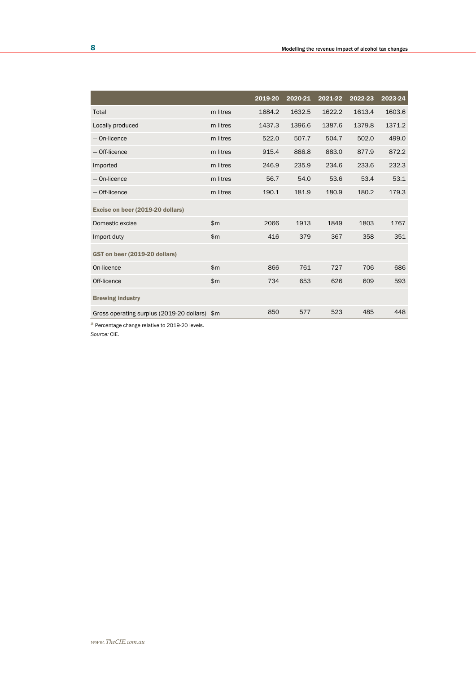|                                               |              | 2019-20 | 2020-21 | 2021-22 | 2022-23 | 2023-24 |
|-----------------------------------------------|--------------|---------|---------|---------|---------|---------|
| Total                                         | m litres     | 1684.2  | 1632.5  | 1622.2  | 1613.4  | 1603.6  |
| Locally produced                              | m litres     | 1437.3  | 1396.6  | 1387.6  | 1379.8  | 1371.2  |
| - On-licence                                  | m litres     | 522.0   | 507.7   | 504.7   | 502.0   | 499.0   |
| - Off-licence                                 | m litres     | 915.4   | 888.8   | 883.0   | 877.9   | 872.2   |
| Imported                                      | m litres     | 246.9   | 235.9   | 234.6   | 233.6   | 232.3   |
| - On-licence                                  | m litres     | 56.7    | 54.0    | 53.6    | 53.4    | 53.1    |
| - Off-licence                                 | m litres     | 190.1   | 181.9   | 180.9   | 180.2   | 179.3   |
| Excise on beer (2019-20 dollars)              |              |         |         |         |         |         |
| Domestic excise                               | $\mathsf{m}$ | 2066    | 1913    | 1849    | 1803    | 1767    |
| Import duty                                   | $\mathsf{m}$ | 416     | 379     | 367     | 358     | 351     |
| GST on beer (2019-20 dollars)                 |              |         |         |         |         |         |
| On-licence                                    | $\mathsf{m}$ | 866     | 761     | 727     | 706     | 686     |
| Off-licence                                   | $\mathsf{m}$ | 734     | 653     | 626     | 609     | 593     |
| <b>Brewing industry</b>                       |              |         |         |         |         |         |
| Gross operating surplus (2019-20 dollars) \$m |              | 850     | 577     | 523     | 485     | 448     |

a Percentage change relative to 2019-20 levels.

*Source:* CIE.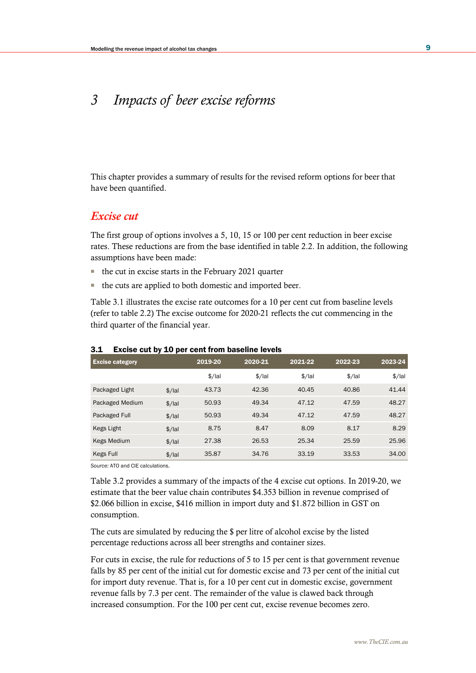# *3 Impacts of beer excise reforms*

This chapter provides a summary of results for the revised reform options for beer that have been quantified.

## *Excise cut*

The first group of options involves a 5, 10, 15 or 100 per cent reduction in beer excise rates. These reductions are from the base identified in table 2.2. In addition, the following assumptions have been made:

- the cut in excise starts in the February 2021 quarter
- the cuts are applied to both domestic and imported beer.

Table 3.1 illustrates the excise rate outcomes for a 10 per cent cut from baseline levels (refer to table 2.2) The excise outcome for 2020-21 reflects the cut commencing in the third quarter of the financial year.

| <b>Excise category</b> |          | 2019-20  | 2020-21  | 2021-22  | 2022-23  | 2023-24  |
|------------------------|----------|----------|----------|----------|----------|----------|
|                        |          | $$$ /lal | $$$ /lal | $$$ /lal | $$$ /lal | $$$ /lal |
| Packaged Light         | $$/$ lal | 43.73    | 42.36    | 40.45    | 40.86    | 41.44    |
| Packaged Medium        | $$/$ lal | 50.93    | 49.34    | 47.12    | 47.59    | 48.27    |
| Packaged Full          | $$/$ lal | 50.93    | 49.34    | 47.12    | 47.59    | 48.27    |
| Kegs Light             | $$/$ lal | 8.75     | 8.47     | 8.09     | 8.17     | 8.29     |
| <b>Kegs Medium</b>     | $$$ /lal | 27.38    | 26.53    | 25.34    | 25.59    | 25.96    |
| Kegs Full              | $$/$ lal | 35.87    | 34.76    | 33.19    | 33.53    | 34.00    |

#### 3.1 Excise cut by 10 per cent from baseline levels

*Source:* ATO and CIE calculations.

Table 3.2 provides a summary of the impacts of the 4 excise cut options. In 2019-20, we estimate that the beer value chain contributes \$4.353 billion in revenue comprised of \$2.066 billion in excise, \$416 million in import duty and \$1.872 billion in GST on consumption.

The cuts are simulated by reducing the \$ per litre of alcohol excise by the listed percentage reductions across all beer strengths and container sizes.

For cuts in excise, the rule for reductions of 5 to 15 per cent is that government revenue falls by 85 per cent of the initial cut for domestic excise and 73 per cent of the initial cut for import duty revenue. That is, for a 10 per cent cut in domestic excise, government revenue falls by 7.3 per cent. The remainder of the value is clawed back through increased consumption. For the 100 per cent cut, excise revenue becomes zero.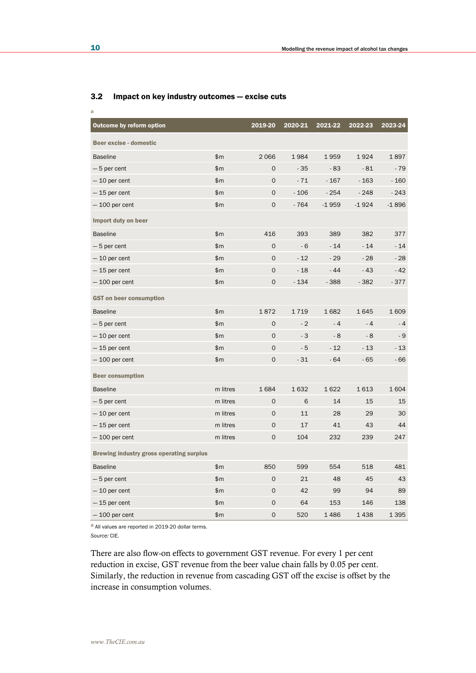| <b>Outcome by reform option</b>                 |          | 2019-20             | 2020-21 | 2021-22 | 2022-23 | 2023-24 |
|-------------------------------------------------|----------|---------------------|---------|---------|---------|---------|
| Beer excise - domestic                          |          |                     |         |         |         |         |
| <b>Baseline</b>                                 | \$m\$    | 2066                | 1984    | 1959    | 1924    | 1897    |
| $-5$ per cent                                   | \$m      | $\mathbf 0$         | $-35$   | $-83$   | $-81$   | $-79$   |
| $-10$ per cent                                  | \$m\$    | $\mathbf{O}$        | $-71$   | $-167$  | $-163$  | $-160$  |
| $-15$ per cent                                  | \$m      | $\mathbf 0$         | $-106$  | $-254$  | $-248$  | $-243$  |
| $-100$ per cent                                 | \$m      | $\mathbf 0$         | $-764$  | $-1959$ | $-1924$ | $-1896$ |
| Import duty on beer                             |          |                     |         |         |         |         |
| <b>Baseline</b>                                 | \$m      | 416                 | 393     | 389     | 382     | 377     |
| $-5$ per cent                                   | \$m\$    | $\mathsf{O}$        | $-6$    | $-14$   | $-14$   | $-14$   |
| $-10$ per cent                                  | \$m      | $\mathbf 0$         | $-12$   | $-29$   | $-28$   | $-28$   |
| $-15$ per cent                                  | \$m      | $\mathbf 0$         | $-18$   | $-44$   | $-43$   | $-42$   |
| $-100$ per cent                                 | \$m      | $\mathsf{O}\xspace$ | $-134$  | $-388$  | $-382$  | $-377$  |
| <b>GST</b> on beer consumption                  |          |                     |         |         |         |         |
| <b>Baseline</b>                                 | \$m      | 1872                | 1719    | 1682    | 1645    | 1609    |
| $-5$ per cent                                   | \$m      | $\mathbf 0$         | $-2$    | $-4$    | $-4$    | $-4$    |
| $-10$ per cent                                  | \$m      | $\mathbf 0$         | $-3$    | $-8$    | $-8$    | - 9     |
| $-15$ per cent                                  | \$m      | $\mathbf 0$         | $-5$    | $-12$   | $-13$   | $-13$   |
| $-100$ per cent                                 | \$m      | $\mathbf 0$         | $-31$   | $-64$   | $-65$   | - 66    |
| <b>Beer consumption</b>                         |          |                     |         |         |         |         |
| <b>Baseline</b>                                 | m litres | 1684                | 1632    | 1622    | 1613    | 1604    |
| $-5$ per cent                                   | m litres | $\mathbf 0$         | 6       | 14      | 15      | 15      |
| $-10$ per cent                                  | m litres | $\mathbf 0$         | 11      | 28      | 29      | 30      |
| $-15$ per cent                                  | m litres | $\mathbf 0$         | 17      | 41      | 43      | 44      |
| $-100$ per cent                                 | m litres | $\mathbf 0$         | 104     | 232     | 239     | 247     |
| <b>Brewing industry gross operating surplus</b> |          |                     |         |         |         |         |
| <b>Baseline</b>                                 | \$m      | 850                 | 599     | 554     | 518     | 481     |
| $-5$ per cent                                   | \$m\$    | $\mathbf 0$         | 21      | 48      | 45      | 43      |
| $-10$ per cent                                  | \$m      | 0                   | 42      | 99      | 94      | 89      |
| $-15$ per cent                                  | \$m\$    | $\mathbf 0$         | 64      | 153     | 146     | 138     |
| $-$ 100 per cent                                | \$m      | 0                   | 520     | 1486    | 1438    | 1 3 9 5 |

## 3.2 Impact on key industry outcomes — excise cuts

a All values are reported in 2019-20 dollar terms.

*Source:* CIE.

There are also flow-on effects to government GST revenue. For every 1 per cent reduction in excise, GST revenue from the beer value chain falls by 0.05 per cent. Similarly, the reduction in revenue from cascading GST off the excise is offset by the increase in consumption volumes.

a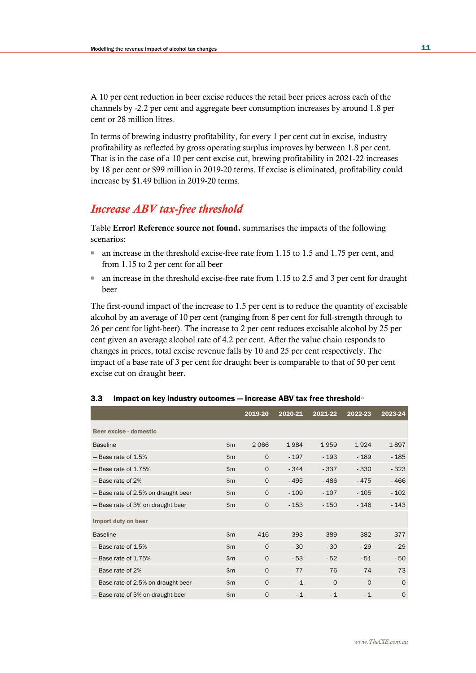A 10 per cent reduction in beer excise reduces the retail beer prices across each of the channels by -2.2 per cent and aggregate beer consumption increases by around 1.8 per cent or 28 million litres.

In terms of brewing industry profitability, for every 1 per cent cut in excise, industry profitability as reflected by gross operating surplus improves by between 1.8 per cent. That is in the case of a 10 per cent excise cut, brewing profitability in 2021-22 increases by 18 per cent or \$99 million in 2019-20 terms. If excise is eliminated, profitability could increase by \$1.49 billion in 2019-20 terms.

## *Increase ABV tax-free threshold*

Table Error! Reference source not found. summarises the impacts of the following scenarios:

- an increase in the threshold excise-free rate from 1.15 to 1.5 and 1.75 per cent, and from 1.15 to 2 per cent for all beer
- an increase in the threshold excise-free rate from 1.15 to 2.5 and 3 per cent for draught beer

The first-round impact of the increase to 1.5 per cent is to reduce the quantity of excisable alcohol by an average of 10 per cent (ranging from 8 per cent for full-strength through to 26 per cent for light-beer). The increase to 2 per cent reduces excisable alcohol by 25 per cent given an average alcohol rate of 4.2 per cent. After the value chain responds to changes in prices, total excise revenue falls by 10 and 25 per cent respectively. The impact of a base rate of 3 per cent for draught beer is comparable to that of 50 per cent excise cut on draught beer.

|                                     |              | 2019-20     | 2020-21 | 2021-22  | 2022-23  | 2023-24 |
|-------------------------------------|--------------|-------------|---------|----------|----------|---------|
| Beer excise - domestic              |              |             |         |          |          |         |
| <b>Baseline</b>                     | $\mathsf{m}$ | 2066        | 1984    | 1959     | 1924     | 1897    |
| $-$ Base rate of 1.5%               | $\mathsf{m}$ | $\Omega$    | $-197$  | $-193$   | $-189$   | $-185$  |
| $-$ Base rate of 1.75%              | $\mathsf{m}$ | $\Omega$    | $-344$  | $-337$   | $-330$   | $-323$  |
| - Base rate of 2%                   | \$m\$        | $\Omega$    | $-495$  | $-486$   | $-475$   | $-466$  |
| - Base rate of 2.5% on draught beer | \$m\$        | $\Omega$    | $-109$  | $-107$   | $-105$   | $-102$  |
| - Base rate of 3% on draught beer   | \$m\$        | $\circ$     | $-153$  | $-150$   | $-146$   | $-143$  |
| Import duty on beer                 |              |             |         |          |          |         |
| <b>Baseline</b>                     | $\mathsf{m}$ | 416         | 393     | 389      | 382      | 377     |
| $-$ Base rate of 1.5%               | $\mathsf{m}$ | $\Omega$    | $-30$   | $-30$    | $-29$    | $-29$   |
| $-$ Base rate of 1.75%              | $\mathsf{m}$ | $\Omega$    | $-53$   | $-52$    | $-51$    | $-50$   |
| - Base rate of 2%                   | \$m\$        | $\Omega$    | $-77$   | $-76$    | $-74$    | $-73$   |
| - Base rate of 2.5% on draught beer | \$m\$        | $\Omega$    | $-1$    | $\Omega$ | $\Omega$ | $\circ$ |
| - Base rate of 3% on draught beer   | \$m\$        | $\mathbf 0$ | $-1$    | $-1$     | $-1$     | $\circ$ |

## 3.3 Impact on key industry outcomes - increase ABV tax free threshold<sup>a</sup>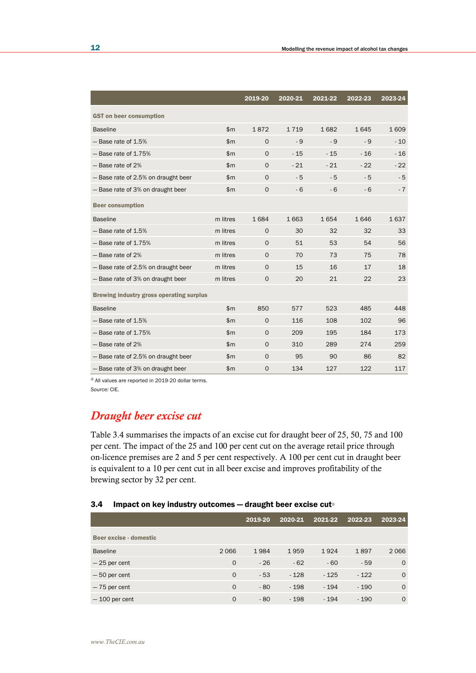|                                                 |              | 2019-20      | 2020-21 | 2021-22 | 2022-23 | 2023-24 |
|-------------------------------------------------|--------------|--------------|---------|---------|---------|---------|
| <b>GST</b> on beer consumption                  |              |              |         |         |         |         |
| <b>Baseline</b>                                 | \$m          | 1872         | 1719    | 1682    | 1645    | 1609    |
| $-$ Base rate of 1.5%                           | \$m          | $\Omega$     | - 9     | - 9     | - 9     | $-10$   |
| $-$ Base rate of 1.75%                          | $\mathsf{m}$ | $\Omega$     | $-15$   | $-15$   | $-16$   | $-16$   |
| - Base rate of 2%                               | \$m          | $\circ$      | $-21$   | $-21$   | $-22$   | $-22$   |
| - Base rate of 2.5% on draught beer             | $\mathsf{m}$ | $\circ$      | $-5$    | $-5$    | $-5$    | $-5$    |
| - Base rate of 3% on draught beer               | $\mathsf{m}$ | $\mathbf{O}$ | $-6$    | $-6$    | $-6$    | $-7$    |
| <b>Beer consumption</b>                         |              |              |         |         |         |         |
| <b>Baseline</b>                                 | m litres     | 1684         | 1663    | 1654    | 1646    | 1637    |
| - Base rate of 1.5%                             | m litres     | $\mathbf{O}$ | 30      | 32      | 32      | 33      |
| $-$ Base rate of 1.75%                          | m litres     | $\Omega$     | 51      | 53      | 54      | 56      |
| - Base rate of 2%                               | m litres     | $\Omega$     | 70      | 73      | 75      | 78      |
| - Base rate of 2.5% on draught beer             | m litres     | $\Omega$     | 15      | 16      | 17      | 18      |
| - Base rate of 3% on draught beer               | m litres     | $\mathbf{O}$ | 20      | 21      | 22      | 23      |
| <b>Brewing industry gross operating surplus</b> |              |              |         |         |         |         |
| <b>Baseline</b>                                 | \$m          | 850          | 577     | 523     | 485     | 448     |
| - Base rate of 1.5%                             | \$m          | $\circ$      | 116     | 108     | 102     | 96      |
| $-$ Base rate of 1.75%                          | \$m\$        | $\mathbf{O}$ | 209     | 195     | 184     | 173     |
| - Base rate of 2%                               | \$m          | $\mathbf{O}$ | 310     | 289     | 274     | 259     |
| - Base rate of 2.5% on draught beer             | \$m\$        | $\mathbf{O}$ | 95      | 90      | 86      | 82      |
| - Base rate of 3% on draught beer               | \$m\$        | $\mathbf 0$  | 134     | 127     | 122     | 117     |

a All values are reported in 2019-20 dollar terms. *Source:* CIE.

# *Draught beer excise cut*

Table 3.4 summarises the impacts of an excise cut for draught beer of 25, 50, 75 and 100 per cent. The impact of the 25 and 100 per cent cut on the average retail price through on-licence premises are 2 and 5 per cent respectively. A 100 per cent cut in draught beer is equivalent to a 10 per cent cut in all beer excise and improves profitability of the brewing sector by 32 per cent.

## 3.4 Impact on key industry outcomes - draught beer excise cuta

|                        |             | 2019-20 | 2020-21 | 2021-22 | 2022-23 | 2023-24  |
|------------------------|-------------|---------|---------|---------|---------|----------|
| Beer excise - domestic |             |         |         |         |         |          |
| <b>Baseline</b>        | 2066        | 1984    | 1959    | 1924    | 1897    | 2066     |
| $-25$ per cent         | $\Omega$    | $-26$   | $-62$   | $-60$   | $-59$   | $\circ$  |
| $-50$ per cent         | $\Omega$    | $-53$   | $-128$  | $-125$  | $-122$  | $\circ$  |
| $-75$ per cent         | $\mathbf 0$ | $-80$   | $-198$  | $-194$  | $-190$  | $\Omega$ |
| $-100$ per cent        | $\Omega$    | $-80$   | $-198$  | $-194$  | $-190$  | $\circ$  |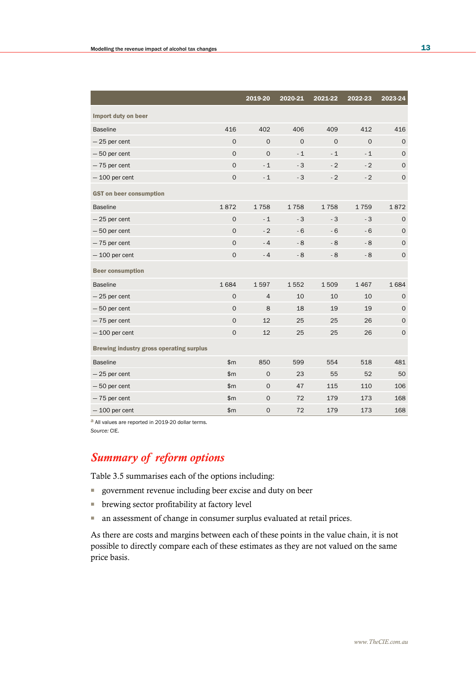|                                                 |              | 2019-20        | 2020-21  | 2021-22  | 2022-23  | 2023-24      |
|-------------------------------------------------|--------------|----------------|----------|----------|----------|--------------|
| Import duty on beer                             |              |                |          |          |          |              |
| <b>Baseline</b>                                 | 416          | 402            | 406      | 409      | 412      | 416          |
| $-25$ per cent                                  | $\Omega$     | $\Omega$       | $\Omega$ | $\Omega$ | $\Omega$ | $\circ$      |
| $-50$ per cent                                  | $\mathsf{O}$ | $\Omega$       | $-1$     | $-1$     | $-1$     | $\mathbf 0$  |
| $-75$ per cent                                  | $\mathsf{O}$ | $-1$           | $-3$     | $-2$     | $-2$     | $\mathbf 0$  |
| $-100$ per cent                                 | $\mathbf 0$  | $-1$           | $-3$     | $-2$     | $-2$     | $\mathbf 0$  |
| <b>GST</b> on beer consumption                  |              |                |          |          |          |              |
| <b>Baseline</b>                                 | 1872         | 1758           | 1758     | 1758     | 1759     | 1872         |
| $-25$ per cent                                  | $\mathbf{O}$ | $-1$           | $-3$     | $-3$     | $-3$     | 0            |
| $-50$ per cent                                  | $\mathsf{O}$ | $-2$           | $-6$     | $-6$     | $-6$     | $\mathbf 0$  |
| $-75$ per cent                                  | $\mathbf{O}$ | $-4$           | $-8$     | $-8$     | $-8$     | $\mathbf 0$  |
| $-100$ per cent                                 | $\mathsf O$  | $-4$           | $-8$     | $-8$     | $-8$     | $\mathbf 0$  |
| <b>Beer consumption</b>                         |              |                |          |          |          |              |
| <b>Baseline</b>                                 | 1684         | 1597           | 1552     | 1509     | 1467     | 1684         |
| $-25$ per cent                                  | $\mathbf{O}$ | $\overline{4}$ | 10       | 10       | 10       | 0            |
| $-50$ per cent                                  | $\mathsf{O}$ | 8              | 18       | 19       | 19       | $\mathbf{O}$ |
| $-75$ per cent                                  | $\mathbf{O}$ | 12             | 25       | 25       | 26       | $\mathbf{O}$ |
| $-100$ per cent                                 | $\mathbf{O}$ | 12             | 25       | 25       | 26       | $\mathbf 0$  |
| <b>Brewing industry gross operating surplus</b> |              |                |          |          |          |              |
| <b>Baseline</b>                                 | \$m\$        | 850            | 599      | 554      | 518      | 481          |
| $-25$ per cent                                  | \$m\$        | $\mathbf 0$    | 23       | 55       | 52       | 50           |
| $-50$ per cent                                  | \$m\$        | $\mathbf 0$    | 47       | 115      | 110      | 106          |
| $-75$ per cent                                  | \$m\$        | $\mathbf 0$    | 72       | 179      | 173      | 168          |
| $-100$ per cent                                 | \$m\$        | $\mathbf 0$    | 72       | 179      | 173      | 168          |

a All values are reported in 2019-20 dollar terms. *Source:* CIE.

# *Summary of reform options*

Table 3.5 summarises each of the options including:

- government revenue including beer excise and duty on beer
- brewing sector profitability at factory level
- an assessment of change in consumer surplus evaluated at retail prices.

As there are costs and margins between each of these points in the value chain, it is not possible to directly compare each of these estimates as they are not valued on the same price basis.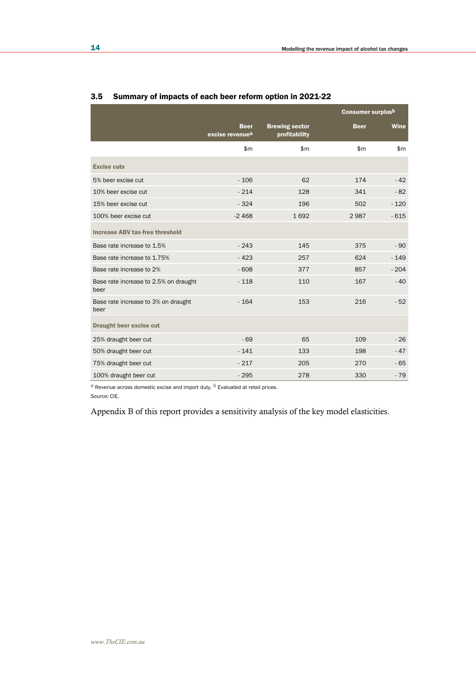|                                               |                                            | <b>Consumer surplusb</b>               |              |              |  |
|-----------------------------------------------|--------------------------------------------|----------------------------------------|--------------|--------------|--|
|                                               | <b>Beer</b><br>excise revenue <sup>a</sup> | <b>Brewing sector</b><br>profitability | <b>Beer</b>  | <b>Wine</b>  |  |
|                                               | $\mathsf{m}$                               | $\mathsf{m}$                           | $\mathsf{m}$ | $\mathsf{m}$ |  |
| <b>Excise cuts</b>                            |                                            |                                        |              |              |  |
| 5% beer excise cut                            | $-106$                                     | 62                                     | 174          | $-42$        |  |
| 10% beer excise cut                           | $-214$                                     | 128                                    | 341          | $-82$        |  |
| 15% beer excise cut                           | $-324$                                     | 196                                    | 502          | $-120$       |  |
| 100% beer excise cut                          | $-2468$                                    | 1692                                   | 2987         | $-615$       |  |
| <b>Increase ABV tax-free threshold</b>        |                                            |                                        |              |              |  |
| Base rate increase to 1.5%                    | $-243$                                     | 145                                    | 375          | $-90$        |  |
| Base rate increase to 1.75%                   | $-423$                                     | 257                                    | 624          | $-149$       |  |
| Base rate increase to 2%                      | $-608$                                     | 377                                    | 857          | $-204$       |  |
| Base rate increase to 2.5% on draught<br>beer | $-118$                                     | 110                                    | 167          | $-40$        |  |
| Base rate increase to 3% on draught<br>beer   | $-164$                                     | 153                                    | 216          | $-52$        |  |
| <b>Draught beer excise cut</b>                |                                            |                                        |              |              |  |
| 25% draught beer cut                          | $-69$                                      | 65                                     | 109          | $-26$        |  |
| 50% draught beer cut                          | $-141$                                     | 133                                    | 198          | $-47$        |  |
| 75% draught beer cut                          | $-217$                                     | 205                                    | 270          | $-65$        |  |
| 100% draught beer cut                         | $-295$                                     | 278                                    | 330          | $-79$        |  |

## 3.5 Summary of impacts of each beer reform option in 2021-22

 $a$  Revenue across domestic excise and import duty.  $b$  Evaluated at retail prices.

*Source:* CIE.

Appendix B of this report provides a sensitivity analysis of the key model elasticities.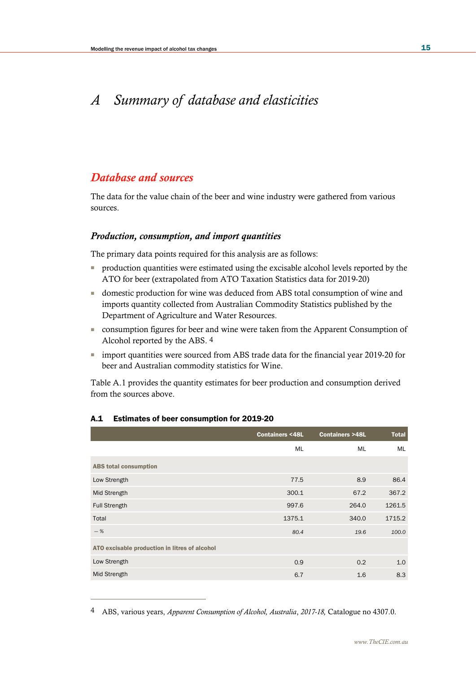# *A Summary of database and elasticities*

## *Database and sources*

The data for the value chain of the beer and wine industry were gathered from various sources.

## *Production, consumption, and import quantities*

The primary data points required for this analysis are as follows:

- production quantities were estimated using the excisable alcohol levels reported by the ATO for beer (extrapolated from ATO Taxation Statistics data for 2019-20)
- domestic production for wine was deduced from ABS total consumption of wine and imports quantity collected from Australian Commodity Statistics published by the Department of Agriculture and Water Resources.
- consumption figures for beer and wine were taken from the Apparent Consumption of Alcohol reported by the ABS. 4
- import quantities were sourced from ABS trade data for the financial year 2019-20 for beer and Australian commodity statistics for Wine.

Table A.1 provides the quantity estimates for beer production and consumption derived from the sources above.

|                                               | <b>Containers &lt;48L</b> | <b>Containers &gt;48L</b> | <b>Total</b> |
|-----------------------------------------------|---------------------------|---------------------------|--------------|
|                                               | <b>ML</b>                 | <b>ML</b>                 | ML           |
| <b>ABS total consumption</b>                  |                           |                           |              |
| Low Strength                                  | 77.5                      | 8.9                       | 86.4         |
| Mid Strength                                  | 300.1                     | 67.2                      | 367.2        |
| <b>Full Strength</b>                          | 997.6                     | 264.0                     | 1261.5       |
| Total                                         | 1375.1                    | 340.0                     | 1715.2       |
| $-$ %                                         | 80.4                      | 19.6                      | 100.0        |
| ATO excisable production in litres of alcohol |                           |                           |              |
| Low Strength                                  | 0.9                       | 0.2                       | 1.0          |
| Mid Strength                                  | 6.7                       | 1.6                       | 8.3          |

## A.1 Estimates of beer consumption for 2019-20

<sup>4</sup> ABS, various years, *Apparent Consumption of Alcohol, Australia*, *2017-18,* Catalogue no 4307.0.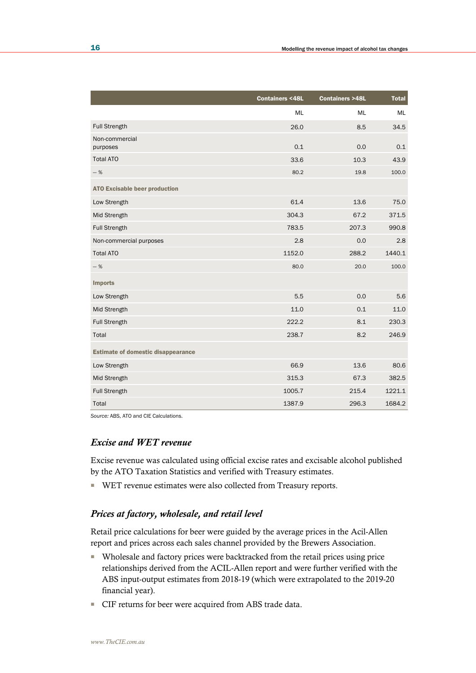|                                           | <b>Containers &lt;48L</b> | <b>Containers &gt;48L</b> | <b>Total</b> |
|-------------------------------------------|---------------------------|---------------------------|--------------|
|                                           | ML                        | ML                        | ML           |
| <b>Full Strength</b>                      | 26.0                      | 8.5                       | 34.5         |
| Non-commercial<br>purposes                | 0.1                       | 0.0                       | 0.1          |
| <b>Total ATO</b>                          | 33.6                      | 10.3                      | 43.9         |
| $-$ %                                     | 80.2                      | 19.8                      | 100.0        |
| <b>ATO Excisable beer production</b>      |                           |                           |              |
| Low Strength                              | 61.4                      | 13.6                      | 75.0         |
| Mid Strength                              | 304.3                     | 67.2                      | 371.5        |
| <b>Full Strength</b>                      | 783.5                     | 207.3                     | 990.8        |
| Non-commercial purposes                   | 2.8                       | 0.0                       | 2.8          |
| <b>Total ATO</b>                          | 1152.0                    | 288.2                     | 1440.1       |
| $-$ %                                     | 80.0                      | 20.0                      | 100.0        |
| <b>Imports</b>                            |                           |                           |              |
| Low Strength                              | 5.5                       | 0.0                       | 5.6          |
| Mid Strength                              | 11.0                      | 0.1                       | 11.0         |
| <b>Full Strength</b>                      | 222.2                     | 8.1                       | 230.3        |
| Total                                     | 238.7                     | 8.2                       | 246.9        |
| <b>Estimate of domestic disappearance</b> |                           |                           |              |
| Low Strength                              | 66.9                      | 13.6                      | 80.6         |
| Mid Strength                              | 315.3                     | 67.3                      | 382.5        |
| <b>Full Strength</b>                      | 1005.7                    | 215.4                     | 1221.1       |
| Total                                     | 1387.9                    | 296.3                     | 1684.2       |

*Source:* ABS, ATO and CIE Calculations.

## *Excise and WET revenue*

Excise revenue was calculated using official excise rates and excisable alcohol published by the ATO Taxation Statistics and verified with Treasury estimates.

■ WET revenue estimates were also collected from Treasury reports.

## *Prices at factory, wholesale, and retail level*

Retail price calculations for beer were guided by the average prices in the Acil-Allen report and prices across each sales channel provided by the Brewers Association.

- Wholesale and factory prices were backtracked from the retail prices using price relationships derived from the ACIL-Allen report and were further verified with the ABS input-output estimates from 2018-19 (which were extrapolated to the 2019-20 financial year).
- CIF returns for beer were acquired from ABS trade data.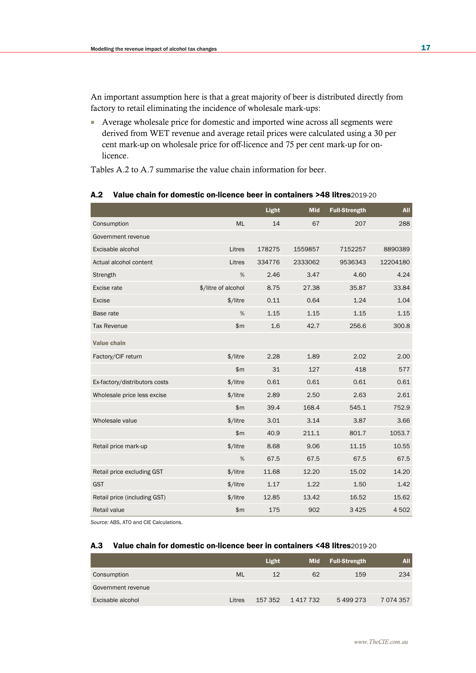An important assumption here is that a great majority of beer is distributed directly from factory to retail eliminating the incidence of wholesale mark-ups:

■ Average wholesale price for domestic and imported wine across all segments were derived from WET revenue and average retail prices were calculated using a 30 per cent mark-up on wholesale price for off-licence and 75 per cent mark-up for onlicence.

Tables A.2 to A.7 summarise the value chain information for beer.

## A.2 Value chain for domestic on-licence beer in containers >48 litres2019-20

|                               |                     | Light  | <b>Mid</b> | <b>Full-Strength</b> | <b>All</b> |
|-------------------------------|---------------------|--------|------------|----------------------|------------|
| Consumption                   | <b>ML</b>           | 14     | 67         | 207                  | 288        |
| Government revenue            |                     |        |            |                      |            |
| Excisable alcohol             | Litres              | 178275 | 1559857    | 7152257              | 8890389    |
| Actual alcohol content        | Litres              | 334776 | 2333062    | 9536343              | 12204180   |
| Strength                      | %                   | 2.46   | 3.47       | 4.60                 | 4.24       |
| Excise rate                   | \$/litre of alcohol | 8.75   | 27.38      | 35.87                | 33.84      |
| Excise                        | \$/litre            | 0.11   | 0.64       | 1.24                 | 1.04       |
| Base rate                     | %                   | 1.15   | 1.15       | 1.15                 | 1.15       |
| <b>Tax Revenue</b>            | \$m\$               | 1.6    | 42.7       | 256.6                | 300.8      |
| <b>Value chain</b>            |                     |        |            |                      |            |
| Factory/CIF return            | \$/litre            | 2.28   | 1.89       | 2.02                 | 2.00       |
|                               | \$m                 | 31     | 127        | 418                  | 577        |
| Ex-factory/distributors costs | \$/litre            | 0.61   | 0.61       | 0.61                 | 0.61       |
| Wholesale price less excise   | \$/litre            | 2.89   | 2.50       | 2.63                 | 2.61       |
|                               | \$m                 | 39.4   | 168.4      | 545.1                | 752.9      |
| Wholesale value               | \$/litre            | 3.01   | 3.14       | 3.87                 | 3.66       |
|                               | \$m                 | 40.9   | 211.1      | 801.7                | 1053.7     |
| Retail price mark-up          | \$/litre            | 8.68   | 9.06       | 11.15                | 10.55      |
|                               | %                   | 67.5   | 67.5       | 67.5                 | 67.5       |
| Retail price excluding GST    | \$/litre            | 11.68  | 12.20      | 15.02                | 14.20      |
| <b>GST</b>                    | \$/litre            | 1.17   | 1.22       | 1.50                 | 1.42       |
| Retail price (including GST)  | \$/litre            | 12.85  | 13.42      | 16.52                | 15.62      |
| Retail value                  | \$m                 | 175    | 902        | 3 4 2 5              | 4502       |

*Source:* ABS, ATO and CIE Calculations.

#### A.3 Value chain for domestic on-licence beer in containers <48 litres2019-20

|                    |           | Light   | Mid       | <b>Full-Strength</b> | All           |
|--------------------|-----------|---------|-----------|----------------------|---------------|
| Consumption        | <b>ML</b> | 12      | 62        | 159                  | 234           |
| Government revenue |           |         |           |                      |               |
| Excisable alcohol  | Litres    | 157 352 | 1 417 732 | 5499273              | 7 0 7 4 3 5 7 |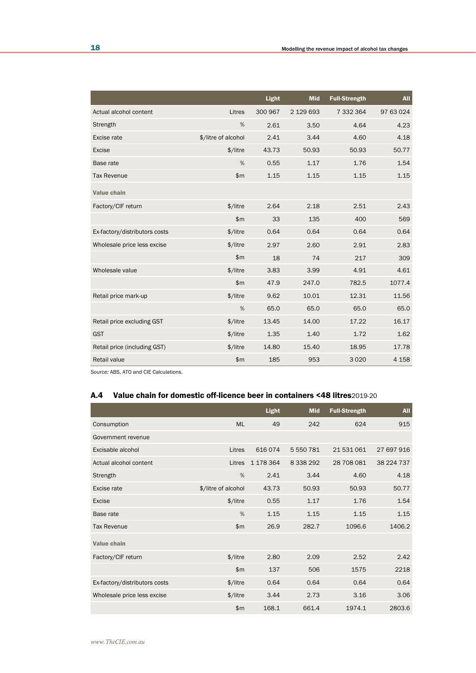|                               |                     | <b>Light</b> | <b>Mid</b> | <b>Full-Strength</b> | <b>All</b> |
|-------------------------------|---------------------|--------------|------------|----------------------|------------|
| Actual alcohol content        | Litres              | 300 967      | 2 129 693  | 7 332 364            | 97 63 024  |
| Strength                      | %                   | 2.61         | 3.50       | 4.64                 | 4.23       |
| Excise rate                   | \$/litre of alcohol | 2.41         | 3.44       | 4.60                 | 4.18       |
| <b>Excise</b>                 | \$/litre            | 43.73        | 50.93      | 50.93                | 50.77      |
| Base rate                     | %                   | 0.55         | 1.17       | 1.76                 | 1.54       |
| <b>Tax Revenue</b>            | \$m\$               | 1.15         | 1.15       | 1.15                 | 1.15       |
| <b>Value chain</b>            |                     |              |            |                      |            |
| Factory/CIF return            | \$/litre            | 2.64         | 2.18       | 2.51                 | 2.43       |
|                               | \$m\$               | 33           | 135        | 400                  | 569        |
| Ex-factory/distributors costs | \$/litre            | 0.64         | 0.64       | 0.64                 | 0.64       |
| Wholesale price less excise   | \$/litre            | 2.97         | 2.60       | 2.91                 | 2.83       |
|                               | \$m\$               | 18           | 74         | 217                  | 309        |
| Wholesale value               | \$/litre            | 3.83         | 3.99       | 4.91                 | 4.61       |
|                               | \$m                 | 47.9         | 247.0      | 782.5                | 1077.4     |
| Retail price mark-up          | \$/litre            | 9.62         | 10.01      | 12.31                | 11.56      |
|                               | %                   | 65.0         | 65.0       | 65.0                 | 65.0       |
| Retail price excluding GST    | \$/litre            | 13.45        | 14.00      | 17.22                | 16.17      |
| <b>GST</b>                    | \$/litre            | 1.35         | 1.40       | 1.72                 | 1.62       |
| Retail price (including GST)  | \$/litre            | 14.80        | 15.40      | 18.95                | 17.78      |
| <b>Retail value</b>           | \$m                 | 185          | 953        | 3020                 | 4 1 5 8    |

*Source:* ABS, ATO and CIE Calculations.

## A.4 Value chain for domestic off-licence beer in containers <48 litres2019-20

|                               |                     | <b>Light</b> | <b>Mid</b>  | <b>Full-Strength</b> | <b>All</b> |
|-------------------------------|---------------------|--------------|-------------|----------------------|------------|
| Consumption                   | <b>ML</b>           | 49           | 242         | 624                  | 915        |
| Government revenue            |                     |              |             |                      |            |
| Excisable alcohol             | Litres              | 616074       | 5 550 781   | 21531061             | 27 697 916 |
| Actual alcohol content        | Litres              | 1 178 364    | 8 3 3 2 9 2 | 28 708 081           | 38 224 737 |
| Strength                      | %                   | 2.41         | 3.44        | 4.60                 | 4.18       |
| Excise rate                   | \$/litre of alcohol | 43.73        | 50.93       | 50.93                | 50.77      |
| Excise                        | \$/litre            | 0.55         | 1.17        | 1.76                 | 1.54       |
| Base rate                     | %                   | 1.15         | 1.15        | 1.15                 | 1.15       |
| <b>Tax Revenue</b>            | \$m\$               | 26.9         | 282.7       | 1096.6               | 1406.2     |
| Value chain                   |                     |              |             |                      |            |
| Factory/CIF return            | \$/litre            | 2.80         | 2.09        | 2.52                 | 2.42       |
|                               | \$m\$               | 137          | 506         | 1575                 | 2218       |
| Ex-factory/distributors costs | \$/litre            | 0.64         | 0.64        | 0.64                 | 0.64       |
| Wholesale price less excise   | \$/litre            | 3.44         | 2.73        | 3.16                 | 3.06       |
|                               | \$m\$               | 168.1        | 661.4       | 1974.1               | 2803.6     |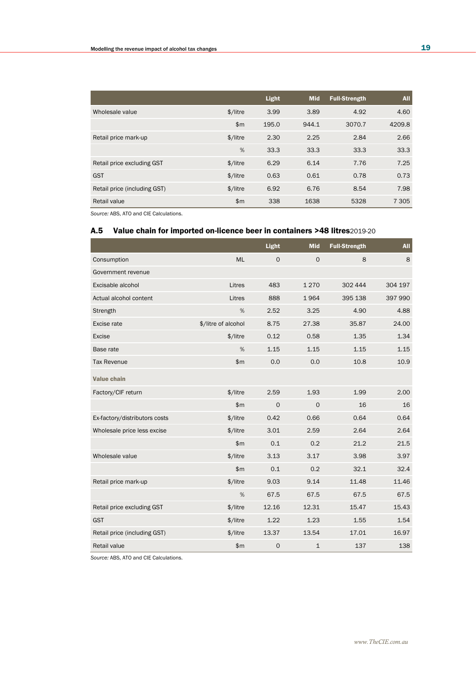|                              |            | Light | <b>Mid</b> | <b>Full-Strength</b> | <b>All</b> |
|------------------------------|------------|-------|------------|----------------------|------------|
| Wholesale value              | $$/$ litre | 3.99  | 3.89       | 4.92                 | 4.60       |
|                              | \$m        | 195.0 | 944.1      | 3070.7               | 4209.8     |
| Retail price mark-up         | \$/litre   | 2.30  | 2.25       | 2.84                 | 2.66       |
|                              | %          | 33.3  | 33.3       | 33.3                 | 33.3       |
| Retail price excluding GST   | $$/$ litre | 6.29  | 6.14       | 7.76                 | 7.25       |
| <b>GST</b>                   | $$/$ litre | 0.63  | 0.61       | 0.78                 | 0.73       |
| Retail price (including GST) | $$/$ litre | 6.92  | 6.76       | 8.54                 | 7.98       |
| Retail value                 | \$m        | 338   | 1638       | 5328                 | 7 3 0 5    |

*Source:* ABS, ATO and CIE Calculations.

## A.5 Value chain for imported on-licence beer in containers >48 litres2019-20

|                               |                     | Light       | <b>Mid</b>   | <b>Full-Strength</b> | <b>All</b> |
|-------------------------------|---------------------|-------------|--------------|----------------------|------------|
| Consumption                   | <b>ML</b>           | $\Omega$    | $\mathbf 0$  | 8                    | 8          |
| Government revenue            |                     |             |              |                      |            |
| Excisable alcohol             | Litres              | 483         | 1270         | 302 444              | 304 197    |
| Actual alcohol content        | Litres              | 888         | 1964         | 395 138              | 397 990    |
| Strength                      | %                   | 2.52        | 3.25         | 4.90                 | 4.88       |
| Excise rate                   | \$/litre of alcohol | 8.75        | 27.38        | 35.87                | 24.00      |
| <b>Excise</b>                 | \$/litre            | 0.12        | 0.58         | 1.35                 | 1.34       |
| Base rate                     | %                   | 1.15        | 1.15         | 1.15                 | 1.15       |
| <b>Tax Revenue</b>            | \$m\$               | 0.0         | 0.0          | 10.8                 | 10.9       |
| <b>Value chain</b>            |                     |             |              |                      |            |
| Factory/CIF return            | \$/litre            | 2.59        | 1.93         | 1.99                 | 2.00       |
|                               | \$m\$               | $\Omega$    | $\mathbf{O}$ | 16                   | 16         |
| Ex-factory/distributors costs | \$/litre            | 0.42        | 0.66         | 0.64                 | 0.64       |
| Wholesale price less excise   | \$/litre            | 3.01        | 2.59         | 2.64                 | 2.64       |
|                               | \$m\$               | 0.1         | 0.2          | 21.2                 | 21.5       |
| Wholesale value               | \$/litre            | 3.13        | 3.17         | 3.98                 | 3.97       |
|                               | \$m                 | 0.1         | 0.2          | 32.1                 | 32.4       |
| Retail price mark-up          | \$/litre            | 9.03        | 9.14         | 11.48                | 11.46      |
|                               | %                   | 67.5        | 67.5         | 67.5                 | 67.5       |
| Retail price excluding GST    | \$/litre            | 12.16       | 12.31        | 15.47                | 15.43      |
| <b>GST</b>                    | \$/litre            | 1.22        | 1.23         | 1.55                 | 1.54       |
| Retail price (including GST)  | \$/litre            | 13.37       | 13.54        | 17.01                | 16.97      |
| Retail value                  | \$m                 | $\mathbf 0$ | $\mathbf{1}$ | 137                  | 138        |

*Source:* ABS, ATO and CIE Calculations.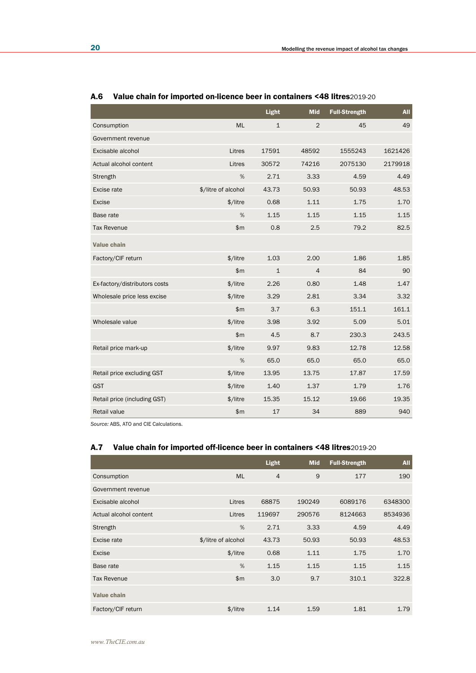|                               |                     | Light        | <b>Mid</b>     | <b>Full-Strength</b> | <b>All</b> |
|-------------------------------|---------------------|--------------|----------------|----------------------|------------|
| Consumption                   | <b>ML</b>           | $\mathbf{1}$ | 2              | 45                   | 49         |
| Government revenue            |                     |              |                |                      |            |
| Excisable alcohol             | Litres              | 17591        | 48592          | 1555243              | 1621426    |
| Actual alcohol content        | Litres              | 30572        | 74216          | 2075130              | 2179918    |
| Strength                      | %                   | 2.71         | 3.33           | 4.59                 | 4.49       |
| Excise rate                   | \$/litre of alcohol | 43.73        | 50.93          | 50.93                | 48.53      |
| Excise                        | \$/litre            | 0.68         | 1.11           | 1.75                 | 1.70       |
| Base rate                     | %                   | 1.15         | 1.15           | 1.15                 | 1.15       |
| <b>Tax Revenue</b>            | \$m\$               | 0.8          | 2.5            | 79.2                 | 82.5       |
| <b>Value chain</b>            |                     |              |                |                      |            |
| Factory/CIF return            | \$/litre            | 1.03         | 2.00           | 1.86                 | 1.85       |
|                               | \$m                 | $\mathbf{1}$ | $\overline{4}$ | 84                   | 90         |
| Ex-factory/distributors costs | \$/litre            | 2.26         | 0.80           | 1.48                 | 1.47       |
| Wholesale price less excise   | \$/litre            | 3.29         | 2.81           | 3.34                 | 3.32       |
|                               | \$m                 | 3.7          | 6.3            | 151.1                | 161.1      |
| Wholesale value               | \$/litre            | 3.98         | 3.92           | 5.09                 | 5.01       |
|                               | \$m                 | 4.5          | 8.7            | 230.3                | 243.5      |
| Retail price mark-up          | \$/litre            | 9.97         | 9.83           | 12.78                | 12.58      |
|                               | %                   | 65.0         | 65.0           | 65.0                 | 65.0       |
| Retail price excluding GST    | \$/litre            | 13.95        | 13.75          | 17.87                | 17.59      |
| <b>GST</b>                    | \$/litre            | 1.40         | 1.37           | 1.79                 | 1.76       |
| Retail price (including GST)  | \$/litre            | 15.35        | 15.12          | 19.66                | 19.35      |
| Retail value                  | \$m\$               | 17           | 34             | 889                  | 940        |

## A.6 Value chain for imported on-licence beer in containers <48 litres2019-20

*Source:* ABS, ATO and CIE Calculations.

## A.7 Value chain for imported off-licence beer in containers <48 litres2019-20

|                        |                     | <b>Light</b>   | <b>Mid</b> | <b>Full-Strength</b> | <b>All</b> |
|------------------------|---------------------|----------------|------------|----------------------|------------|
| Consumption            | <b>ML</b>           | $\overline{4}$ | 9          | 177                  | 190        |
| Government revenue     |                     |                |            |                      |            |
| Excisable alcohol      | Litres              | 68875          | 190249     | 6089176              | 6348300    |
| Actual alcohol content | Litres              | 119697         | 290576     | 8124663              | 8534936    |
| Strength               | %                   | 2.71           | 3.33       | 4.59                 | 4.49       |
| Excise rate            | \$/litre of alcohol | 43.73          | 50.93      | 50.93                | 48.53      |
| Excise                 | \$/litre            | 0.68           | 1.11       | 1.75                 | 1.70       |
| Base rate              | $\%$                | 1.15           | 1.15       | 1.15                 | 1.15       |
| <b>Tax Revenue</b>     | \$m\$               | 3.0            | 9.7        | 310.1                | 322.8      |
| <b>Value chain</b>     |                     |                |            |                      |            |
| Factory/CIF return     | \$/litre            | 1.14           | 1.59       | 1.81                 | 1.79       |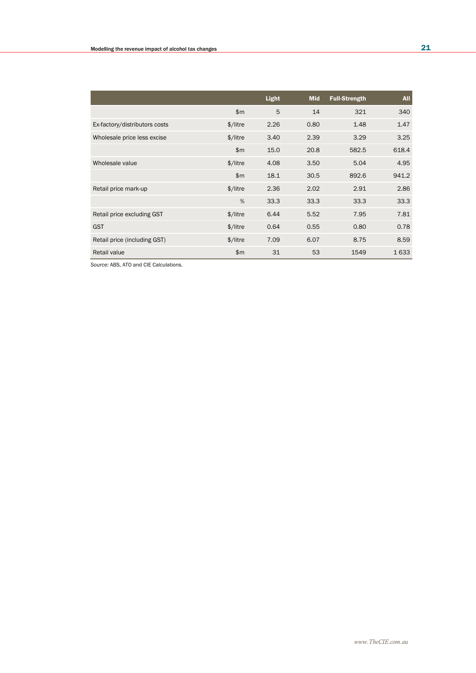|                               |                      | Light | <b>Mid</b> | <b>Full-Strength</b> | <b>All</b> |
|-------------------------------|----------------------|-------|------------|----------------------|------------|
|                               | \$m\$                | 5     | 14         | 321                  | 340        |
| Ex-factory/distributors costs | $$/$ litre           | 2.26  | 0.80       | 1.48                 | 1.47       |
| Wholesale price less excise   | $$/$ litre           | 3.40  | 2.39       | 3.29                 | 3.25       |
|                               | $\mathsf{m}$         | 15.0  | 20.8       | 582.5                | 618.4      |
| Wholesale value               | \$/litre             | 4.08  | 3.50       | 5.04                 | 4.95       |
|                               | \$m\$                | 18.1  | 30.5       | 892.6                | 941.2      |
| Retail price mark-up          | \$/litre             | 2.36  | 2.02       | 2.91                 | 2.86       |
|                               | %                    | 33.3  | 33.3       | 33.3                 | 33.3       |
| Retail price excluding GST    | \$/litre             | 6.44  | 5.52       | 7.95                 | 7.81       |
| <b>GST</b>                    | \$/litre             | 0.64  | 0.55       | 0.80                 | 0.78       |
| Retail price (including GST)  | $\frac{1}{2}$ /litre | 7.09  | 6.07       | 8.75                 | 8.59       |
| Retail value                  | \$m                  | 31    | 53         | 1549                 | 1633       |

*Source:* ABS, ATO and CIE Calculations.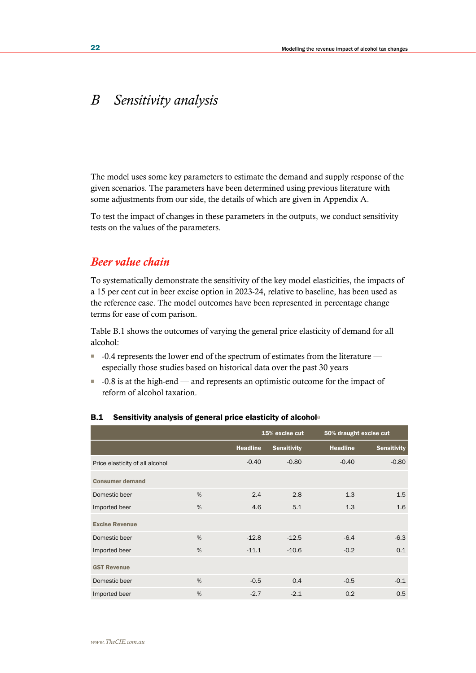# *B Sensitivity analysis*

The model uses some key parameters to estimate the demand and supply response of the given scenarios. The parameters have been determined using previous literature with some adjustments from our side, the details of which are given in Appendix A.

To test the impact of changes in these parameters in the outputs, we conduct sensitivity tests on the values of the parameters.

## *Beer value chain*

To systematically demonstrate the sensitivity of the key model elasticities, the impacts of a 15 per cent cut in beer excise option in 2023-24, relative to baseline, has been used as the reference case. The model outcomes have been represented in percentage change terms for ease of com parison.

Table B.1 shows the outcomes of varying the general price elasticity of demand for all alcohol:

- -0.4 represents the lower end of the spectrum of estimates from the literature especially those studies based on historical data over the past 30 years
- $\blacksquare$  -0.8 is at the high-end and represents an optimistic outcome for the impact of reform of alcohol taxation.

|                                 |   |                 | 15% excise cut     | 50% draught excise cut |                    |
|---------------------------------|---|-----------------|--------------------|------------------------|--------------------|
|                                 |   | <b>Headline</b> | <b>Sensitivity</b> | <b>Headline</b>        | <b>Sensitivity</b> |
| Price elasticity of all alcohol |   | $-0.40$         | $-0.80$            | $-0.40$                | $-0.80$            |
| <b>Consumer demand</b>          |   |                 |                    |                        |                    |
| Domestic beer                   | % | 2.4             | 2.8                | 1.3                    | 1.5                |
| Imported beer                   | % | 4.6             | 5.1                | 1.3                    | 1.6                |
| <b>Excise Revenue</b>           |   |                 |                    |                        |                    |
| Domestic beer                   | % | $-12.8$         | $-12.5$            | $-6.4$                 | $-6.3$             |
| Imported beer                   | % | $-11.1$         | $-10.6$            | $-0.2$                 | 0.1                |
| <b>GST Revenue</b>              |   |                 |                    |                        |                    |
| Domestic beer                   | % | $-0.5$          | 0.4                | $-0.5$                 | $-0.1$             |
| Imported beer                   | % | $-2.7$          | $-2.1$             | 0.2                    | 0.5                |

## B.1 Sensitivity analysis of general price elasticity of alcohola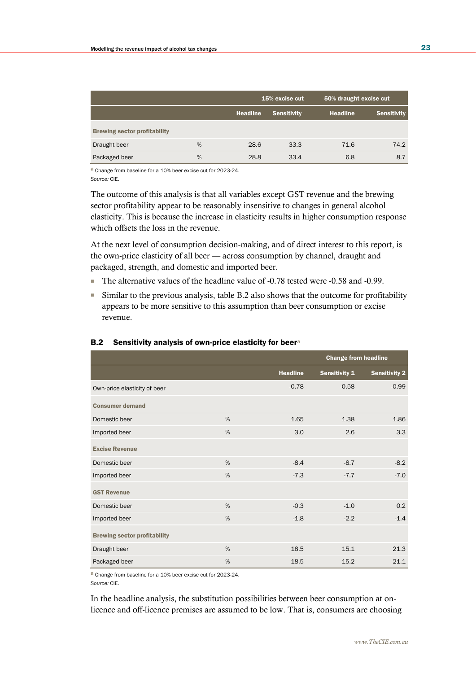|                                     |   |          | 15% excise cut     | 50% draught excise cut |                    |
|-------------------------------------|---|----------|--------------------|------------------------|--------------------|
|                                     |   | Headline | <b>Sensitivity</b> | Headline               | <b>Sensitivity</b> |
| <b>Brewing sector profitability</b> |   |          |                    |                        |                    |
| Draught beer                        | % | 28.6     | 33.3               | 71.6                   | 74.2               |
| Packaged beer                       | % | 28.8     | 33.4               | 6.8                    | 8.7                |

a Change from baseline for a 10% beer excise cut for 2023-24. *Source:* CIE.

The outcome of this analysis is that all variables except GST revenue and the brewing sector profitability appear to be reasonably insensitive to changes in general alcohol elasticity. This is because the increase in elasticity results in higher consumption response which offsets the loss in the revenue.

At the next level of consumption decision-making, and of direct interest to this report, is the own-price elasticity of all beer — across consumption by channel, draught and packaged, strength, and domestic and imported beer.

- The alternative values of the headline value of -0.78 tested were -0.58 and -0.99.
- Similar to the previous analysis, table B.2 also shows that the outcome for profitability appears to be more sensitive to this assumption than beer consumption or excise revenue.

|                                     |   |                 | <b>Change from headline</b> |                      |
|-------------------------------------|---|-----------------|-----------------------------|----------------------|
|                                     |   | <b>Headline</b> | <b>Sensitivity 1</b>        | <b>Sensitivity 2</b> |
| Own-price elasticity of beer        |   | $-0.78$         | $-0.58$                     | $-0.99$              |
| <b>Consumer demand</b>              |   |                 |                             |                      |
| Domestic beer                       | % | 1.65            | 1.38                        | 1.86                 |
| Imported beer                       | % | 3.0             | 2.6                         | 3.3                  |
| <b>Excise Revenue</b>               |   |                 |                             |                      |
| Domestic beer                       | % | $-8.4$          | $-8.7$                      | $-8.2$               |
| Imported beer                       | % | $-7.3$          | $-7.7$                      | $-7.0$               |
| <b>GST Revenue</b>                  |   |                 |                             |                      |
| Domestic beer                       | % | $-0.3$          | $-1.0$                      | 0.2                  |
| Imported beer                       | % | $-1.8$          | $-2.2$                      | $-1.4$               |
| <b>Brewing sector profitability</b> |   |                 |                             |                      |
| Draught beer                        | % | 18.5            | 15.1                        | 21.3                 |
| Packaged beer                       | % | 18.5            | 15.2                        | 21.1                 |

## B.2 Sensitivity analysis of own-price elasticity for beer<sup>a</sup>

a Change from baseline for a 10% beer excise cut for 2023-24.

*Source:* CIE.

In the headline analysis, the substitution possibilities between beer consumption at onlicence and off-licence premises are assumed to be low. That is, consumers are choosing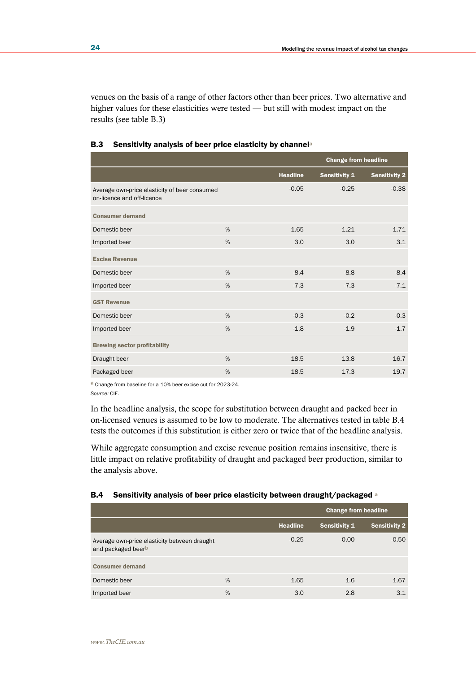venues on the basis of a range of other factors other than beer prices. Two alternative and higher values for these elasticities were tested — but still with modest impact on the results (see table B.3)

|                                                                             |      |                 | <b>Change from headline</b> |                      |
|-----------------------------------------------------------------------------|------|-----------------|-----------------------------|----------------------|
|                                                                             |      | <b>Headline</b> | <b>Sensitivity 1</b>        | <b>Sensitivity 2</b> |
| Average own-price elasticity of beer consumed<br>on-licence and off-licence |      | $-0.05$         | $-0.25$                     | $-0.38$              |
| <b>Consumer demand</b>                                                      |      |                 |                             |                      |
| Domestic beer                                                               | %    | 1.65            | 1.21                        | 1.71                 |
| Imported beer                                                               | %    | 3.0             | 3.0                         | 3.1                  |
| <b>Excise Revenue</b>                                                       |      |                 |                             |                      |
| Domestic beer                                                               | $\%$ | $-8.4$          | $-8.8$                      | $-8.4$               |
| Imported beer                                                               | %    | $-7.3$          | $-7.3$                      | $-7.1$               |
| <b>GST Revenue</b>                                                          |      |                 |                             |                      |
| Domestic beer                                                               | %    | $-0.3$          | $-0.2$                      | $-0.3$               |
| Imported beer                                                               | %    | $-1.8$          | $-1.9$                      | $-1.7$               |
| <b>Brewing sector profitability</b>                                         |      |                 |                             |                      |
| Draught beer                                                                | %    | 18.5            | 13.8                        | 16.7                 |
| Packaged beer                                                               | %    | 18.5            | 17.3                        | 19.7                 |

## B.3 Sensitivity analysis of beer price elasticity by channel<sup>a</sup>

a Change from baseline for a 10% beer excise cut for 2023-24.

*Source:* CIE.

In the headline analysis, the scope for substitution between draught and packed beer in on-licensed venues is assumed to be low to moderate. The alternatives tested in table B.4 tests the outcomes if this substitution is either zero or twice that of the headline analysis.

While aggregate consumption and excise revenue position remains insensitive, there is little impact on relative profitability of draught and packaged beer production, similar to the analysis above.

## B.4 Sensitivity analysis of beer price elasticity between draught/packaged <sup>a</sup>

|                                                                                |   |                 | <b>Change from headline</b> |                      |
|--------------------------------------------------------------------------------|---|-----------------|-----------------------------|----------------------|
|                                                                                |   | <b>Headline</b> | <b>Sensitivity 1</b>        | <b>Sensitivity 2</b> |
| Average own-price elasticity between draught<br>and packaged beer <sup>b</sup> |   | $-0.25$         | 0.00                        | $-0.50$              |
| <b>Consumer demand</b>                                                         |   |                 |                             |                      |
| Domestic beer                                                                  | % | 1.65            | 1.6                         | 1.67                 |
| Imported beer                                                                  | % | 3.0             | 2.8                         | 3.1                  |